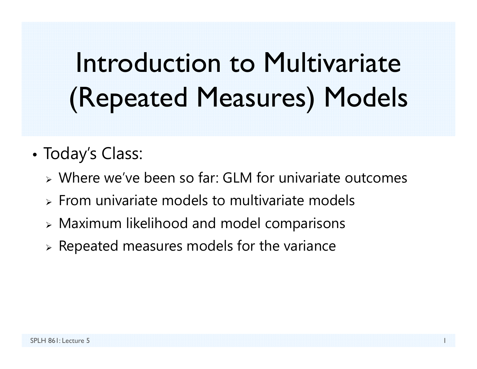# Introduction to Multivariate (Repeated Measures) Models

- • Today's Class:
	- Where we've been so far: GLM for univariate outcomes
	- $\triangleright$  From univariate models to multivariate models
	- $\triangleright$  Maximum likelihood and model comparisons
	- $\triangleright$  Repeated measures models for the variance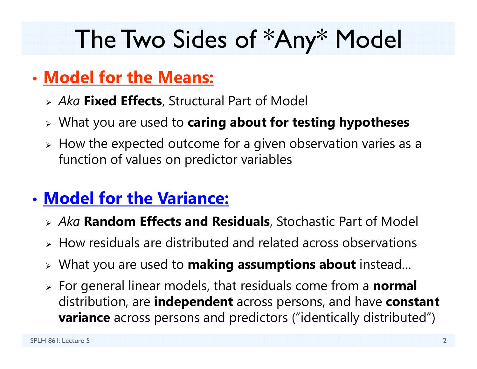### The Two Sides of \*Any\* Model

#### • **Model for the Means:**

- *Aka* **Fixed Effects**, Structural Part of Model
- What you are used to **caring about for testing hypotheses**
- $\triangleright$  How the expected outcome for a given observation varies as a function of values on predictor variables

#### • **Model for the Variance:**

- *Aka* **Random Effects and Residuals**, Stochastic Part of Model
- $\triangleright$  How residuals are distributed and related across observations
- What you are used to **making assumptions about** instead…
- For general linear models, that residuals come from a **normal** distribution, are **independent** across persons, and have **constant variance** across persons and predictors ("identically distributed")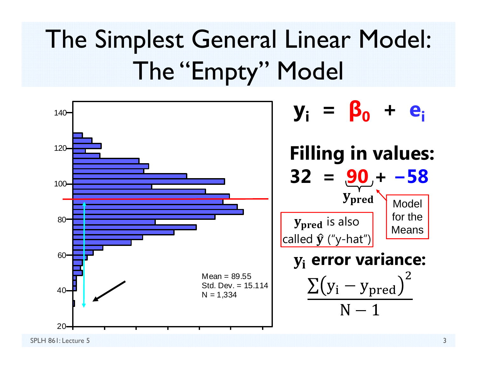# The Simplest General Linear Model: The "Empty" Model

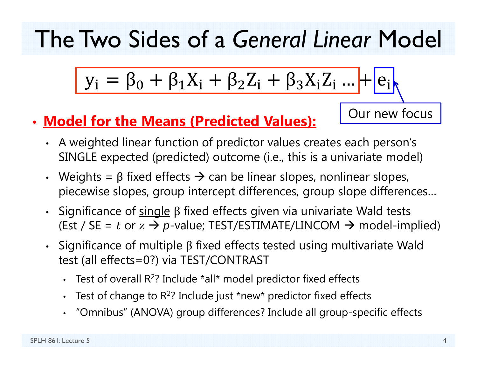The Two Sides of a *General Linear* Model

$$
y_i = \beta_0 + \beta_1 X_i + \beta_2 Z_i + \beta_3 X_i Z_i ... + e_i
$$

- **Model for the Means (Predicted Values):**
	- A weighted linear function of predictor values creates each person's SINGLE expected (predicted) outcome (i.e., this is a univariate model)
	- Weights =  $\beta$  fixed effects  $\rightarrow$  can be linear slopes, nonlinear slopes, piecewise slopes, group intercept differences, group slope differences…
	- Significance of  $\overline{\text{single}}$  β fixed effects given via univariate Wald tests (Est / SE =  $t$  or  $z \to p$ -value; TEST/ESTIMATE/LINCOM  $\to$  model-implied)
	- Significance of <u>multiple</u> β fixed effects tested using multivariate Wald test (all effects=0?) via TEST/CONTRAST
		- •• Test of overall R<sup>2</sup>? Include \*all\* model predictor fixed effects
		- •• Test of change to R<sup>2</sup>? Include just \*new\* predictor fixed effects
		- •"Omnibus" (ANOVA) group differences? Include all group-specific effects

Our new focus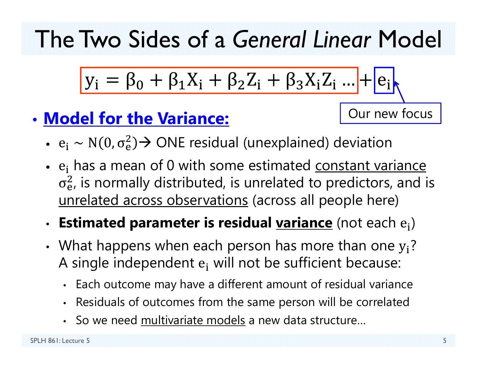The Two Sides of a *General Linear* Model

$$
y_i = \beta_0 + \beta_1 X_i + \beta_2 Z_i + \beta_3 X_i Z_i \dots + e_i
$$

#### • **Model for the Variance:**

Our new focus

- $e_i \sim N(0, \sigma_e^2)$  $_{\rm e}^{2})$  $\rightarrow$  ONE residual (unexplained) deviation
- $e_i$  has a mean of 0 with some estimated constant variance  $\sigma_{\rm e}$  $_{\rm e}^2$ , is normally distributed, is unrelated to predictors, and is unrelated across observations (across all people here)

#### •**· Estimated parameter is residual <u>variance</u> (not each e<sub>i</sub>)**

- •• What happens when each person has more than one  $y_i$ ? A single independent  $\mathbf{e_i}$  will not be sufficient because:
	- •Each outcome may have a different amount of residual variance
	- •Residuals of outcomes from the same person will be correlated
	- •• So we need multivariate models a new data structure...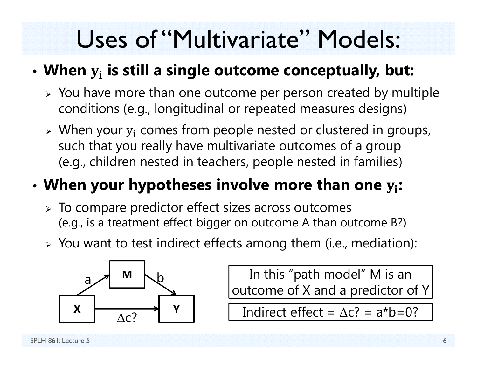### Uses of "Multivariate" Models:

#### • **When**  ܑ **is still a single outcome conceptually, but:**

- $\triangleright$  You have more than one outcome per person created by multiple conditions (e.g., longitudinal or repeated measures designs)
- $\triangleright$  When your  $y_i$  comes from people nested or clustered in groups, such that you really have multivariate outcomes of a group (e.g., children nested in teachers, people nested in families)

#### •**When your hypotheses involve more than one**  ܑ**:**

- $\triangleright$  To compare predictor effect sizes across outcomes (e.g., is a treatment effect bigger on outcome A than outcome B?)
- $\triangleright$  You want to test indirect effects among them (i.e., mediation):



In this "path model" M is an outcome of X and a predictor of Y

 $\begin{array}{c|c} \hline \uparrow & \qquad \qquad \text{Indirect effect} = \Delta c? = a^*b = 0? \ \hline \end{array}$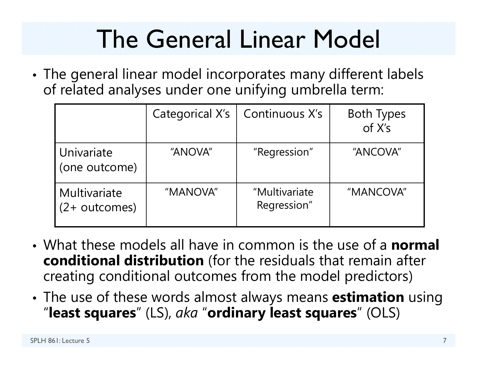## The General Linear Model

• The general linear model incorporates many different labels of related analyses under one unifying umbrella term:

|                                  | Categorical X's | Continuous X's               | <b>Both Types</b><br>of X's |
|----------------------------------|-----------------|------------------------------|-----------------------------|
| Univariate<br>(one outcome)      | "ANOVA"         | "Regression"                 | "ANCOVA"                    |
| Multivariate<br>$(2 + outcomes)$ | "MANOVA"        | "Multivariate<br>Regression" | "MANCOVA"                   |

- What these models all have in common is the use of a **normal conditional distribution** (for the residuals that remain after creating conditional outcomes from the model predictors)
- • The use of these words almost always means **estimation** using "**least squares**" (LS), *aka* "**ordinary least squares**" (OLS)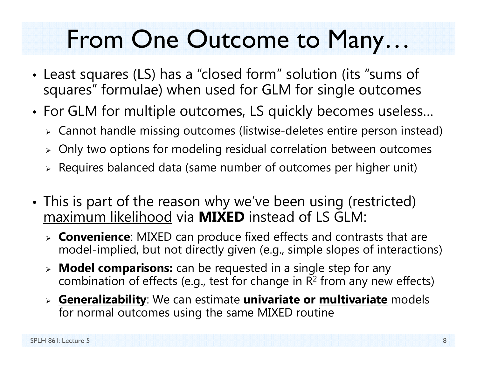### From One Outcome to Many…

- • Least squares (LS) has a "closed form" solution (its "sums of squares" formulae) when used for GLM for single outcomes
- • For GLM for multiple outcomes, LS quickly becomes useless…
	- $\triangleright$  Cannot handle missing outcomes (listwise-deletes entire person instead)
	- $\triangleright$  Only two options for modeling residual correlation between outcomes
	- $\triangleright$  Requires balanced data (same number of outcomes per higher unit)
- • This is part of the reason why we've been using (restricted) maximum likelihood via **MIXED** instead of LS GLM:
	- **Convenience**: MIXED can produce fixed effects and contrasts that are model-implied, but not directly given (e.g., simple slopes of interactions)
	- **Model comparisons:** can be requested in a single step for any combination of effects (e.g., test for change in  $\mathsf{R}^2$  from any new effects)
	- **Generalizability**: We can estimate **univariate or multivariate** models for normal outcomes using the same MIXED routine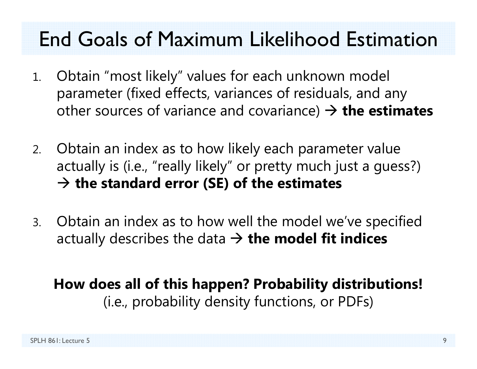#### End Goals of Maximum Likelihood Estimation

- 1. Obtain "most likely" values for each unknown model parameter (fixed effects, variances of residuals, and any other sources of variance and covariance) **the estimates**
- 2. Obtain an index as to how likely each parameter value actually is (i.e., "really likely" or pretty much just a guess?) **the standard error (SE) of the estimates**
- 3. Obtain an index as to how well the model we've specified actually describes the data **the model fit indices**

**How does all of this happen? Probability distributions!** (i.e., probability density functions, or PDFs)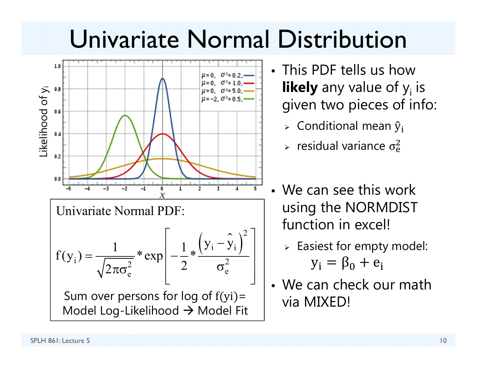#### Univariate Normal Distribution



- This PDF tells us how **likely** any value of y<sub>i</sub> is given two pieces of info:
	- $\triangleright$  Conditional mean  $\widehat y_{\mathbf i}$
	- $\epsilon$  residual variance  $\sigma_{\rm e}^2$  $\overline{c}$
- We can see this work using the NORMDIST function in excel!
	- $\triangleright$  Easiest for empty model:  $y_i = \beta_0 + e_i$
- We can check our math via MIXED!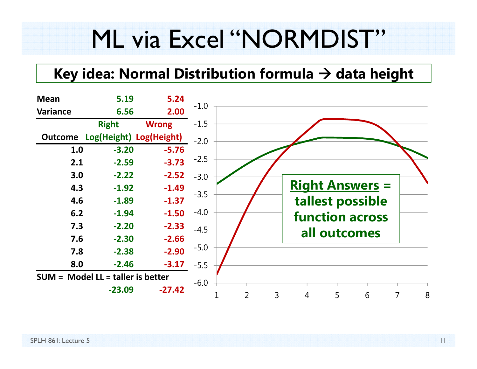### ML via Excel "NORMDIST"

#### **Key idea: Normal Distribution formula data height**

| <b>Mean</b>    | 5.19                                | 5.24         |        |        |   |                        |   |                        |   |   |
|----------------|-------------------------------------|--------------|--------|--------|---|------------------------|---|------------------------|---|---|
| Variance       | 6.56                                | 2.00         | $-1.0$ |        |   |                        |   |                        |   |   |
|                | <b>Right</b>                        | <b>Wrong</b> | $-1.5$ |        |   |                        |   |                        |   |   |
| <b>Outcome</b> | Log(Height) Log(Height)             |              | $-2.0$ |        |   |                        |   |                        |   |   |
| 1.0            | $-3.20$                             | $-5.76$      |        |        |   |                        |   |                        |   |   |
| 2.1            | $-2.59$                             | $-3.73$      | $-2.5$ |        |   |                        |   |                        |   |   |
| 3.0            | $-2.22$                             | $-2.52$      | $-3.0$ |        |   |                        |   |                        |   |   |
| 4.3            | $-1.92$                             | $-1.49$      |        |        |   | <b>Right Answers =</b> |   |                        |   |   |
| 4.6            | $-1.89$                             | $-1.37$      | $-3.5$ |        |   |                        |   | tallest possible       |   |   |
| 6.2            | $-1.94$                             | $-1.50$      | $-4.0$ |        |   |                        |   | <b>function across</b> |   |   |
| 7.3            | $-2.20$                             | $-2.33$      | $-4.5$ |        |   |                        |   |                        |   |   |
| 7.6            | $-2.30$                             | $-2.66$      |        |        |   |                        |   | all outcomes           |   |   |
| 7.8            | $-2.38$                             | $-2.90$      | $-5.0$ |        |   |                        |   |                        |   |   |
| 8.0            | $-2.46$                             | $-3.17$      | $-5.5$ |        |   |                        |   |                        |   |   |
|                | $SUM = Model LL = taller$ is better |              |        |        |   |                        |   |                        |   |   |
|                | $-23.09$                            | $-27.42$     | $-6.0$ |        |   |                        |   |                        |   |   |
|                |                                     |              |        | 2<br>1 | 3 | 4                      | 5 | 6                      | 7 | 8 |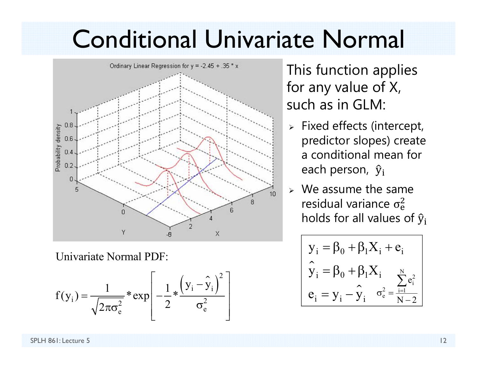#### Conditional Univariate Normal



Univariate Normal PDF:

$$
f(y_i) = \frac{1}{\sqrt{2\pi\sigma_e^2}} * \exp\left[-\frac{1}{2} * \frac{(y_i - \hat{y}_i)^2}{\sigma_e^2}\right]
$$

 This function applies for any value of X, such as in GLM:

- $\triangleright$  Fixed effects (intercept, predictor slopes) create a conditional mean for each person,  $\, {\widehat {\bf y}}_{\rm i} \,$
- $\triangleright$  We assume the same residual variance  $\sigma_{\rm e}^2$  $\overline{c}$ holds for all values of  $\widehat{\mathbf{y}}_{\mathbf{i}}$

$$
\begin{cases} y_i = \beta_0 + \beta_1 X_i + e_i \\ \hat{y}_i = \beta_0 + \beta_1 X_i \\ e_i = y_i - \hat{y}_i \end{cases} \xrightarrow[\sigma_e^2 = \frac{\sum_{i=1}^N e_i^2}{N-2}]
$$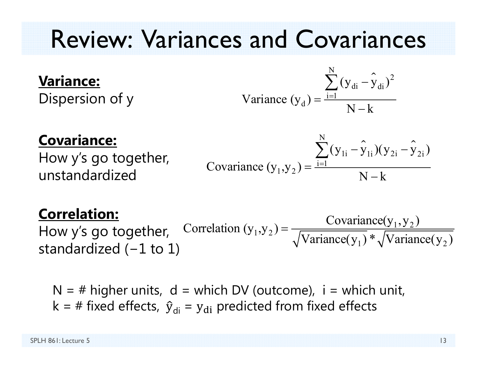### Review: Variances and Covariances

#### **Variance:**

Dispersion of y

Variance 
$$
(y_d) = \frac{\sum_{i=1}^{N} (y_{di} - \hat{y}_{di})^2}{N - k}
$$

#### **Covariance:**

How y's go together, unstandardized

Covariance 
$$
(y_1, y_2) = \frac{\sum_{i=1}^{N} (y_{1i} - \hat{y}_{1i})(y_{2i} - \hat{y}_{2i})}{N - k}
$$

#### **Correlation:**

How y's go together, standardized ( <sup>−</sup>1 to 1)  $_1$ ,  $y_2$ ) =  $\frac{\text{covariance}(y_1, y_2)}{\sqrt{x_1 + \cdots + x_n}}$  $\text{Correlation } (y_1, y_2) = \frac{\text{Covariance}(y_1, y_2)}{\sqrt{\text{Variance}(y_1)} * \sqrt{\text{Variance}(y_2)}}$ ═

 $N = #$  higher units,  $d =$  which DV (outcome),  $i =$  which unit, k = # fixed effects,  $\,{\hat{y}}_{\sf di}\,$  =  ${\sf y}_{\sf di}\,$  predicted from fixed effects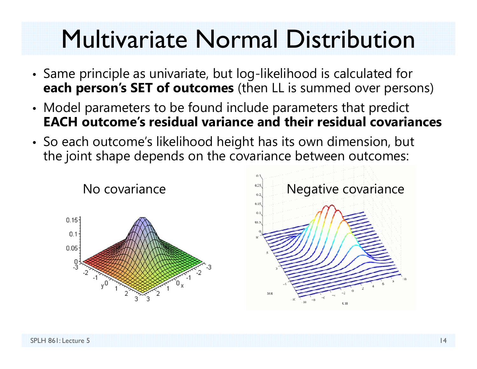### Multivariate Normal Distribution

- Same principle as univariate, but log-likelihood is calculated for **each person's SET of outcomes** (then LL is summed over persons)
- Model parameters to be found include parameters that predict **EACH outcome's residual variance and their residual covariances**
- So each outcome's likelihood height has its own dimension, but the joint shape depends on the covariance between outcomes:



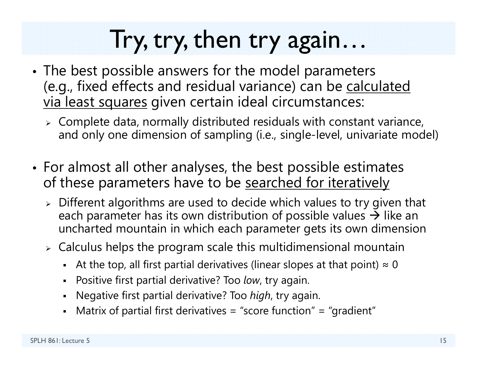### Try, try, then try again…

- • The best possible answers for the model parameters (e.g., fixed effects and residual variance) can be calculated via least squares given certain ideal circumstances:
	- $\triangleright$  Complete data, normally distributed residuals with constant variance, and only one dimension of sampling (i.e., single-level, univariate model)
- For almost all other analyses, the best possible estimates of these parameters have to be searched for iteratively
	- $\triangleright$  Different algorithms are used to decide which values to try given that each parameter has its own distribution of possible values  $\bm{\rightarrow}$  like an  $^{\vphantom{\dagger}}$ uncharted mountain in which each parameter gets its own dimension
	- $\triangleright$  Calculus helps the program scale this multidimensional mountain
		- $\;$  At the top, all first partial derivatives (linear slopes at that point)  $\approx 0$
		- Positive first partial derivative? Too *low*, try again.
		- Negative first partial derivative? Too *high*, try again.
		- Matrix of partial first derivatives = "score function" = "gradient"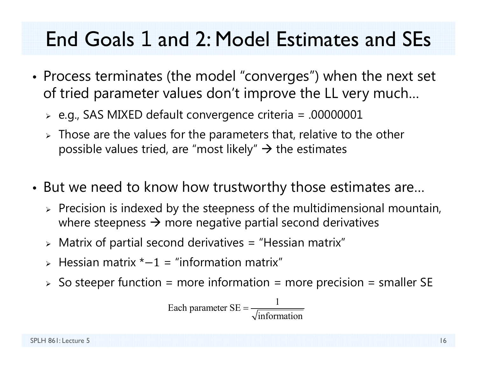#### End Goals 1 and 2: Model Estimates and SEs

- Process terminates (the model "converges") when the next set of tried parameter values don't improve the LL very much…
	- $\triangleright$  e.g., SAS MIXED default convergence criteria = .00000001
	- $\triangleright$  Those are the values for the parameters that, relative to the other possible values tried, are "most likely"  $\rightarrow$  the estimates
- But we need to know how trustworthy those estimates are…
	- $\triangleright$  Precision is indexed by the steepness of the multidimensional mountain, where steepness  $\rightarrow$  more negative partial second derivatives
	- $\triangleright$  Matrix of partial second derivatives = "Hessian matrix"
	- $\triangleright$  Hessian matrix  $\ast$ -1 = "information matrix"
	- $\triangleright$  So steeper function = more information = more precision = smaller SE

Each parameter 
$$
SE = \frac{1}{\sqrt{\text{information}}}
$$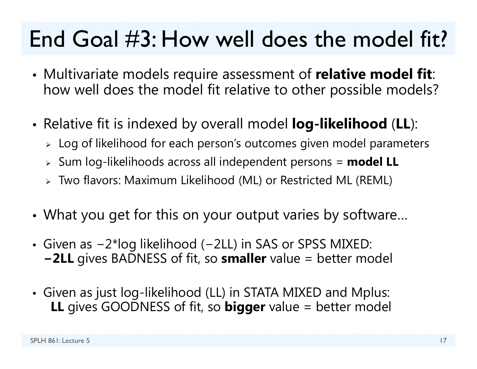#### End Goal #3: How well does the model fit?

- • Multivariate models require assessment of **relative model fit**: how well does the model fit relative to other possible models?
- • Relative fit is indexed by overall model **log-likelihood** (**LL**):
	- $\triangleright\;$  Log of likelihood for each person's outcomes given model parameters
	- Sum log-likelihoods across all independent persons = **model LL**
	- Two flavors: Maximum Likelihood (ML) or Restricted ML (REML)
- •What you get for this on your output varies by software…
- Given as −2\*log likelihood (−2LL) in SAS or SPSS MIXED: **<sup>−</sup>2LL** gives BADNESS of fit, so **smaller** value = better model
- Given as just log-likelihood (LL) in STATA MIXED and Mplus: **LL** gives GOODNESS of fit, so **bigger** value = better model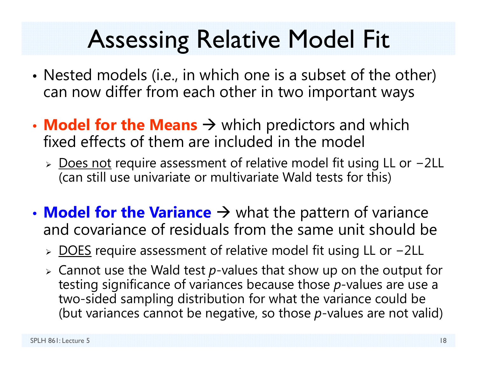## Assessing Relative Model Fit

- • Nested models (i.e., in which one is a subset of the other) can now differ from each other in two important ways
- **Model for the Means**  $\rightarrow$  which predictors and which fixed effects of them are included in the model
	- > Does not require assessment of relative model fit using LL or -2LL (can still use univariate or multivariate Wald tests for this)
- **Model for the Variance**  $\rightarrow$  what the pattern of variance and covariance of residuals from the same unit should be
	- > DOES require assessment of relative model fit using LL or -2LL
	- Cannot use the Wald test *p*-values that show up on the output for testing significance of variances because those *p*-values are use a two-sided sampling distribution for what the variance could be (but variances cannot be negative, so those *p*-values are not valid)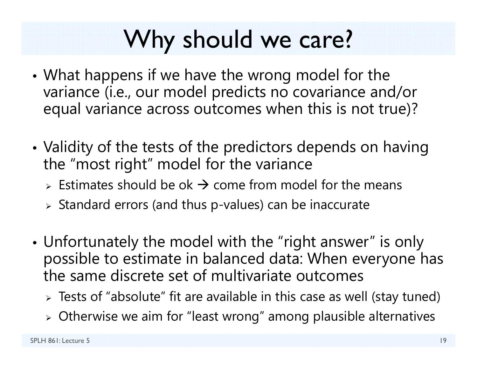### Why should we care?

- • What happens if we have the wrong model for the variance (i.e., our model predicts no covariance and/or equal variance across outcomes when this is not true)?
- • Validity of the tests of the predictors depends on having the "most right" model for the variance
	- $\triangleright$  Estimates should be ok  $\rightarrow$  come from model for the means
	- $\triangleright$  Standard errors (and thus p-values) can be inaccurate
- • Unfortunately the model with the "right answer" is only possible to estimate in balanced data: When everyone has the same discrete set of multivariate outcomes
	- $\triangleright$  Tests of "absolute" fit are available in this case as well (stay tuned)
	- $\triangleright$  Otherwise we aim for "least wrong" among plausible alternatives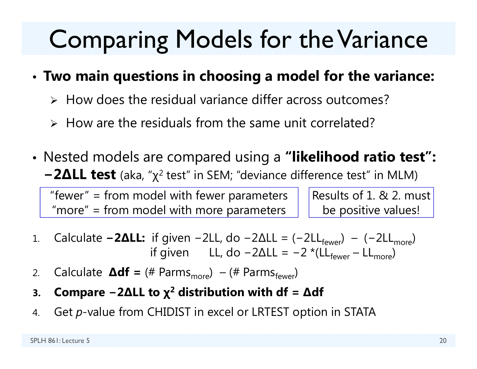### Comparing Models for the Variance

#### •**Two main questions in choosing a model for the variance:**

- $\triangleright$  How does the residual variance differ across outcomes?
- $\triangleright$  How are the residuals from the same unit correlated?
- Nested models are compared using a **"likelihood ratio test":**   $-2$ ΔLL test (aka, "χ<sup>2</sup> test" in SEM; "deviance difference test" in MLM)

"fewer" = from model with fewer parameters "more" = from model with more parameters

Results of 1. & 2. must be positive values!

- 1.. Calculate **−2ΔLL:** if given −2LL, do −2ΔLL = (−2LL<sub>fewer</sub>) − (−2LL<sub>more</sub>) if given LL, do −2ΔLL = −2 \*(LL<sub>fewer</sub> – LL<sub>more</sub>)
- 2.. Calculate **∆df** = (# Parms<sub>more</sub>) – (# Parms<sub>fewer</sub>)
- **3.Compare − 2 ∆LL to χ 2 distribution with df <sup>=</sup> ∆df**
- 4.Get *p*-value from CHIDIST in excel or LRTEST option in STATA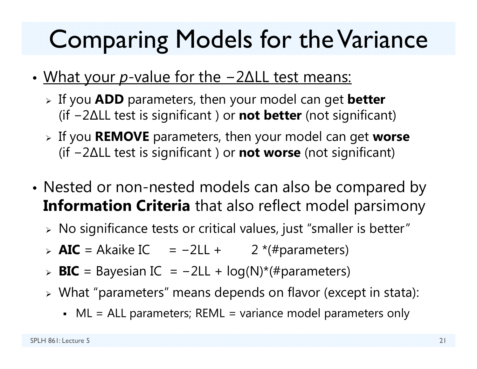### Comparing Models for the Variance

- • What your *p*-value for the − 2 ∆LL test means:
	- If you **ADD** parameters, then your model can get **better** (if − 2 ∆LL test is significant ) or **not better** (not significant)
	- If you **REMOVE** parameters, then your model can get **worse** (if − 2 ∆LL test is significant ) or **not worse** (not significant)
- • Nested or non-nested models can also be compared by **Information Criteria** that also reflect model parsimony
	- $\triangleright$  No significance tests or critical values, just "smaller is better"
	- > **AIC** = Akaike IC = -2LL + 2 <sup>\*</sup>(#parameters)
	- > **BIC** = Bayesian IC = -2LL + log(N)\*(#parameters)
	- What "parameters" means depends on flavor (except in stata):
		- ML = ALL parameters; REML = variance model parameters only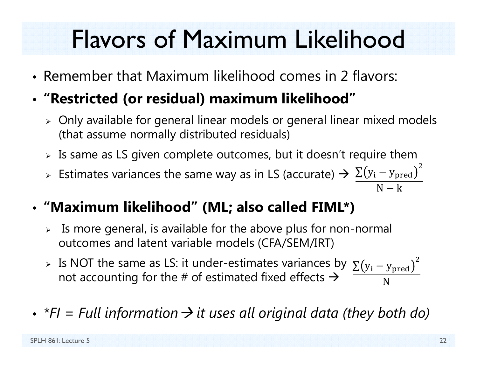## Flavors of Maximum Likelihood

- Remember that Maximum likelihood comes in 2 flavors:
- **"Restricted (or residual) maximum likelihood"**
	- $\triangleright$  Only available for general linear models or general linear mixed models (that assume normally distributed residuals)
	- $\triangleright$  Is same as LS given complete outcomes, but it doesn't require them
	- > Estimates variances the same way as in LS (accurate)  $\rightarrow \frac{\sum (y_i y_{pred})}{\sum (y_i y_{pred})}$  $\overline{c}$  $N-k$
- **"Maximum likelihood" (ML; also called FIML\*)**
	- $\triangleright$  Is more general, is available for the above plus for non-normal outcomes and latent variable models (CFA/SEM/IRT)
	- > Is NOT the same as LS: it under-estimates variances by  $\sum(y_i y_{\rm pred})$ not accounting for the # of estimated fixed effects  $\bm{\rightarrow}$ ଶ N
- *\*FI = Full information it uses all original data (they both do)*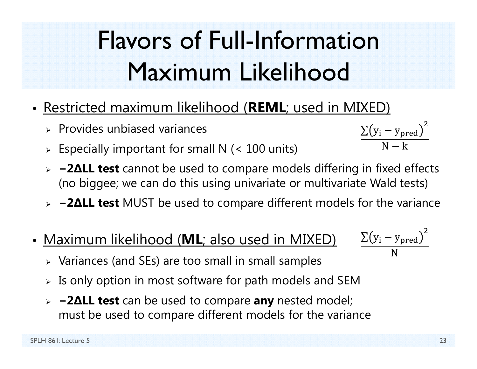# Flavors of Full-Information Maximum Likelihood

- Restricted maximum likelihood (**REML**; used in MIXED)
	- $\triangleright$  Provides unbiased variances
	- $\triangleright$  Especially important for small N (< 100 units)
	- **− 2 ∆LL test** cannot be used to compare models differing in fixed effects (no biggee; we can do this using univariate or multivariate Wald tests)
	- **− 2 ∆LL test** MUST be used to compare different models for the variance
- Maximum likelihood (**ML**; also used in MIXED)
	- $\triangleright$  Variances (and SEs) are too small in small samples
	- $\triangleright$  Is only option in most software for path models and SEM
	- **− 2 ∆LL test** can be used to compare **any** nested model; must be used to compare different models for the variance



 $\rm \Sigma(y_{i}-y_{pred}$ 

 $\mathsf{N}-\mathsf{k}$ 

 $\overline{c}$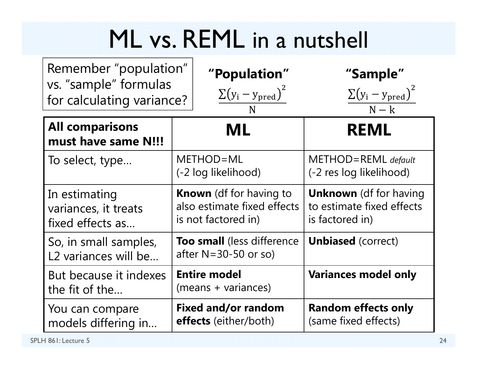### ML vs. REML in a nutshell

| Remember "population"<br>vs. "sample" formulas<br>for calculating variance? | "Population"<br>$\sum(y_i - y_{pred})^2$<br>N                                        | "Sample"<br>$\sum(y_i - y_{pred})^2$<br>$N - k$                               |  |
|-----------------------------------------------------------------------------|--------------------------------------------------------------------------------------|-------------------------------------------------------------------------------|--|
| <b>All comparisons</b><br>must have same N!!!                               | ML                                                                                   | <b>REML</b>                                                                   |  |
| To select, type                                                             | METHOD=ML<br>(-2 log likelihood)                                                     | $METHOD = REML$ default<br>(-2 res log likelihood)                            |  |
| In estimating<br>variances, it treats<br>fixed effects as                   | <b>Known</b> (df for having to<br>also estimate fixed effects<br>is not factored in) | <b>Unknown</b> (df for having<br>to estimate fixed effects<br>is factored in) |  |
| So, in small samples,<br>L2 variances will be                               | <b>Too small</b> (less difference<br>after $N = 30 - 50$ or so)                      | <b>Unbiased</b> (correct)                                                     |  |
| But because it indexes<br>the fit of the                                    | <b>Entire model</b><br>(means + variances)                                           | <b>Variances model only</b>                                                   |  |
| You can compare<br>models differing in                                      | <b>Fixed and/or random</b><br><b>effects</b> (either/both)                           | <b>Random effects only</b><br>(same fixed effects)                            |  |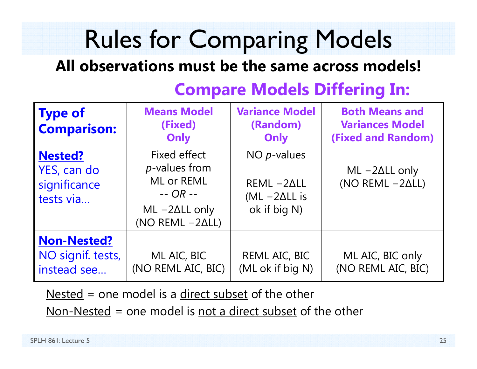# Rules for Comparing Models

#### **All observations must be the same across models!**

| <b>Type of</b><br><b>Comparison:</b>                       | <b>Means Model</b><br>(Fixed)<br>Only                                                                                 | <b>Variance Model</b><br>(Random)<br>Only                                | <b>Both Means and</b><br><b>Variances Model</b><br><b>(Fixed and Random)</b> |  |  |
|------------------------------------------------------------|-----------------------------------------------------------------------------------------------------------------------|--------------------------------------------------------------------------|------------------------------------------------------------------------------|--|--|
| <b>Nested?</b><br>YES, can do<br>significance<br>tests via | Fixed effect<br><i>p</i> -values from<br>ML or REML<br>$-$ OR $-$<br>$ML -2\Delta LL$ only<br>(NO REML $-2\Delta L$ ) | NO $p$ -values<br>$REML -2ALL$<br>$(ML - 2\Delta LL)$ is<br>ok if big N) | $ML - 2\Delta LL$ only<br>(NO REML $-2\Delta L$ )                            |  |  |
| <b>Non-Nested?</b><br>NO signif. tests,<br>instead see     | ML AIC, BIC<br>(NO REML AIC, BIC)                                                                                     | REML AIC, BIC<br>(ML ok if big N)                                        | ML AIC, BIC only<br>(NO REML AIC, BIC)                                       |  |  |

#### **Compare Models Differing In:**

Nested = one model is a direct subset of the other

Non-Nested = one model is not a direct subset of the other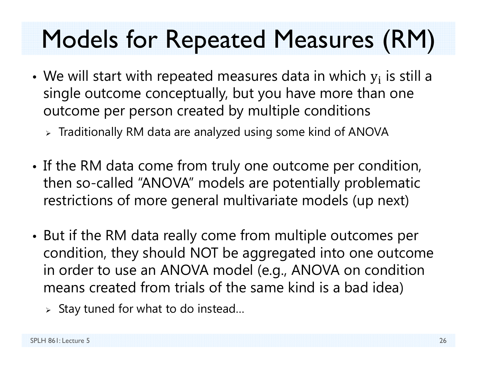## Models for Repeated Measures (RM)

- We will start with repeated measures data in which  $y_i$  is still a single outcome conceptually, but you have more than one outcome per person created by multiple conditions
	- $\triangleright$  Traditionally RM data are analyzed using some kind of ANOVA
- • If the RM data come from truly one outcome per condition, then so-called "ANOVA" models are potentially problematic restrictions of more general multivariate models (up next)
- • But if the RM data really come from multiple outcomes per condition, they should NOT be aggregated into one outcome in order to use an ANOVA model (e.g., ANOVA on condition means created from trials of the same kind is a bad idea)
	- $\triangleright$  Stay tuned for what to do instead...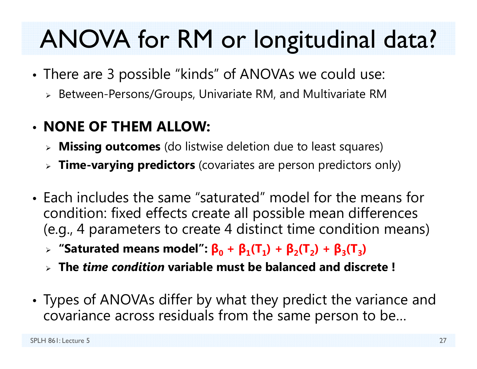# ANOVA for RM or longitudinal data?

- • There are 3 possible "kinds" of ANOVAs we could use:
	- $\triangleright$  Between-Persons/Groups, Univariate RM, and Multivariate RM
- **NONE OF THEM ALLOW:**
	- **Missing outcomes** (do listwise deletion due to least squares)
	- **Time-varying predictors** (covariates are person predictors only)
- Each includes the same "saturated" model for the means for condition: fixed effects create all possible mean differences (e.g., 4 parameters to create 4 distinct time condition means)
	- $\triangleright$  "Saturated means model":  $\beta_0 + \beta_1(T_1) + \beta_2(T_2) + \beta_3(T_3)$
	- **The** *time condition* **variable must be balanced and discrete !**
- • Types of ANOVAs differ by what they predict the variance and covariance across residuals from the same person to be…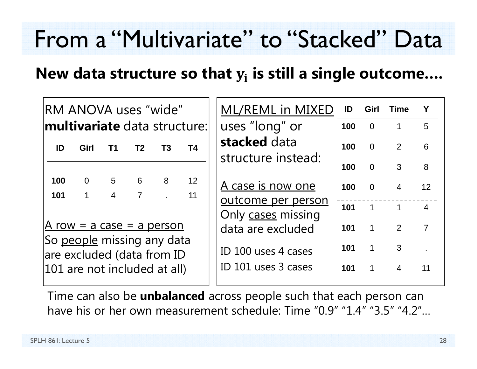#### From a "Multivariate" to "Stacked" Data

#### **New data structure so that**  ܑ **is still a single outcome….**

| RM ANOVA uses "wide"                                                                     |                               |                                  |                     |     |                         | ML/REML in MIXED                           | ID             | Girl                     | <b>Time</b>                |                 |
|------------------------------------------------------------------------------------------|-------------------------------|----------------------------------|---------------------|-----|-------------------------|--------------------------------------------|----------------|--------------------------|----------------------------|-----------------|
| <b>multivariate</b> data structure:                                                      |                               |                                  | uses "long" or      | 100 | $\overline{0}$          | $\mathbf{1}$                               | 5              |                          |                            |                 |
| ID                                                                                       | Girl                          | T1                               | T <sub>2</sub>      | T3  | <b>T4</b>               | stacked data<br>structure instead:         | 100            | $\overline{0}$           | 2                          | 6               |
|                                                                                          |                               |                                  |                     |     |                         |                                            | 100            | $\Omega$                 | 3                          | 8               |
| 100<br>101                                                                               | $\overline{0}$<br>$\mathbf 1$ | 5 <sub>5</sub><br>$\overline{4}$ | 6<br>$\overline{7}$ | 8   | $12 \overline{ }$<br>11 | A case is now one                          | 100            | $\Omega$                 | $\overline{4}$             | 12 <sup>2</sup> |
|                                                                                          |                               |                                  |                     |     |                         | outcome per person<br>Only cases missing   | 101            | $\overline{\phantom{a}}$ | $\overline{\phantom{a}}$ 1 | $\overline{4}$  |
| A row = a case = a person                                                                |                               |                                  | data are excluded   | 101 | $\mathbf 1$             | 2                                          | $\overline{7}$ |                          |                            |                 |
| So people missing any data<br>are excluded (data from ID<br>101 are not included at all) |                               |                                  |                     |     |                         | ID 100 uses 4 cases<br>ID 101 uses 3 cases | 101<br>101     | $\mathbf 1$              | 3<br>$\overline{4}$        | 11              |
|                                                                                          |                               |                                  |                     |     |                         |                                            |                |                          |                            |                 |

Time can also be **unbalanced** across people such that each person can have his or her own measurement schedule: Time "0.9" "1.4" "3.5" "4.2"…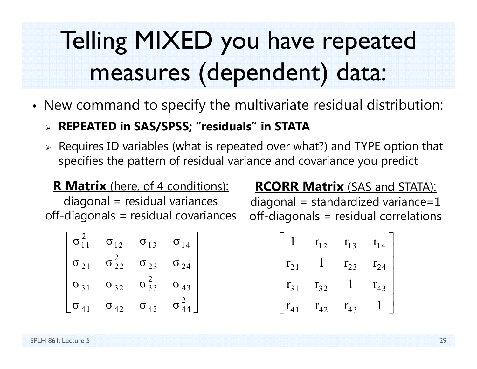# Telling MIXED you have repeated measures (dependent) data:

- • New command to specify the multivariate residual distribution:
	- **REPEATED in SAS/SPSS; "residuals" in STATA**
	- $\triangleright$  Requires ID variables (what is repeated over what?) and TYPE option that specifies the pattern of residual variance and covariance you predict

#### **R Matrix** (here, of 4 conditions): diagonal = residual variances off-diagonals = residual covariances

| $\sigma_{11}$ | $\sigma_{12}$      | $\sigma_{13}$   | $\sigma_{14}$ |
|---------------|--------------------|-----------------|---------------|
| $\sigma_{21}$ | $\sigma_{\,22}^{}$ | $\sigma_{23}$   | $\sigma_{24}$ |
| $\sigma_{31}$ | $\sigma_{32}$      | $\sigma_{33}^-$ | $\sigma_{43}$ |
| $\sigma_{A1}$ | $\sigma_{42}$      | $\sigma_{43}$   | σ             |

#### **RCORR Matrix** (SAS and STATA):

 $diagonal = standardized variance = 1$ off-diagonals = residual correlations

$$
\begin{bmatrix} 1 & r_{12} & r_{13} & r_{14} \ r_{21} & 1 & r_{23} & r_{24} \ r_{31} & r_{32} & 1 & r_{43} \ r_{41} & r_{42} & r_{43} & 1 \end{bmatrix}
$$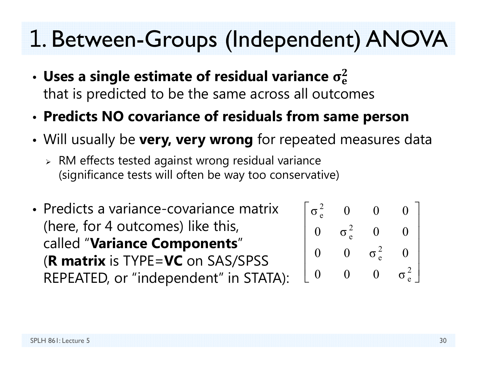#### 1. Between-Groups (Independent) ANOVA

- • $\boldsymbol{\cdot}$  Uses a single estimate of residual variance  $\sigma_{\rm e}^2$ that is predicted to be the same across all outcomes
- •**Predicts NO covariance of residuals from same person**
- • Will usually be **very, very wrong** for repeated measures data
	- $\triangleright$  RM effects tested against wrong residual variance (significance tests will often be way too conservative)
- Predicts a variance-covariance matrix (here, for 4 outcomes) like this, called "**Variance Components**" (**R matrix** is TYPE=**VC** on SAS/SPSS REPEATED, or "independent" in STATA):

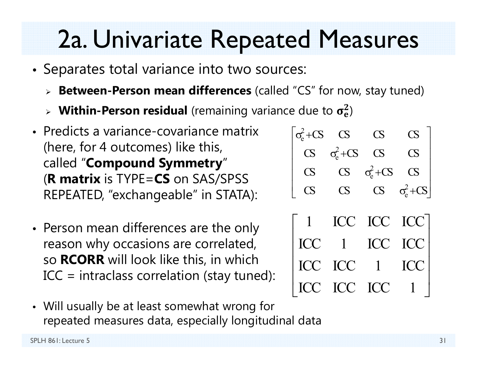### 2a. Univariate Repeated Measures

- Separates total variance into two sources:
	- **Between-Person mean differences** (called "CS" for now, stay tuned)

 $\Gamma$   $\sim$ 

- $\triangleright$  Within-Person residual (remaining variance due to  $\sigma_{\rm e}^2$ )
- Predicts a variance-covariance matrix(here, for 4 outcomes) like this, called "**Compound Symmetry**" (**R matrix** is TYPE=**CS** on SAS/SPSS REPEATED, "exchangeable" in STATA):
- Person mean differences are the only reason why occasions are correlated, so **RCORR** will look like this, in which ICC = intraclass correlation (stay tuned):
- Will usually be at least somewhat wrong for repeated measures data, especially longitudinal data

| $\sigma_{\rm e}^2$ + CS | <b>CS</b>               | <b>CS</b>               | $\overline{\mathrm{CS}}$ |
|-------------------------|-------------------------|-------------------------|--------------------------|
| $\overline{\text{CS}}$  | $\sigma_{\rm e}^2$ + CS | <b>CS</b>               | $\overline{\text{CS}}$   |
| $\overline{\text{CS}}$  | $\overline{\text{CS}}$  | $\sigma_{\rm e}^2$ + CS | $\overline{\text{CS}}$   |
| <b>CS</b>               | $\overline{\text{CS}}$  | $\mathbf{C}$            | $\sigma_{\rm e}^2$ +CS   |
|                         |                         |                         |                          |
| $\vert$                 |                         | ICC ICC ICC             |                          |
| <b>ICC</b>              | $\overline{1}$          | ICC ICC                 |                          |
| <b>ICC</b>              | ICC                     | $\vert$                 | ICC                      |
| $\mathbf{ICC}$          | <b>ICC</b>              | <b>ICC</b>              |                          |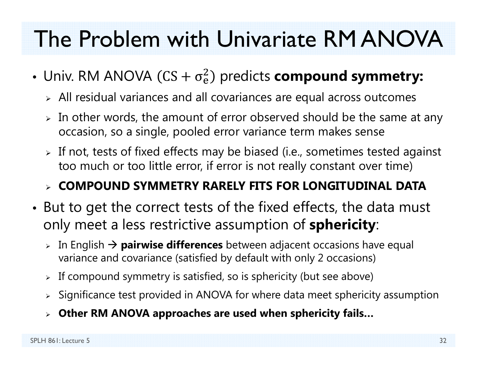#### The Problem with Univariate RM ANOVA

- Univ. RM ANOVA (CS +  $\sigma_{\rm e}^2$  $^{2}_{\text{e}}$ ) predicts **compound symmetry:** 
	- $\triangleright$  All residual variances and all covariances are equal across outcomes
	- $\triangleright$  In other words, the amount of error observed should be the same at any occasion, so a single, pooled error variance term makes sense
	- $\triangleright$  If not, tests of fixed effects may be biased (i.e., sometimes tested against too much or too little error, if error is not really constant over time)

#### **COMPOUND SYMMETRY RARELY FITS FOR LONGITUDINAL DATA**

- • But to get the correct tests of the fixed effects, the data must only meet a less restrictive assumption of **sphericity**:
	- **⊳** In English → **pairwise differences** between adjacent occasions have equal variance and covariance (satisfied by default with only 2 occasions)
	- $\triangleright$  If compound symmetry is satisfied, so is sphericity (but see above)
	- $\triangleright$  Significance test provided in ANOVA for where data meet sphericity assumption
	- **Other RM ANOVA approaches are used when sphericity fails…**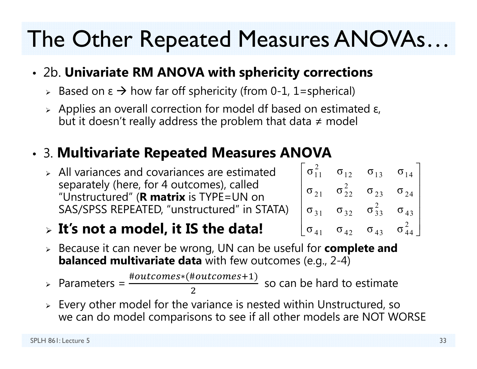### The Other Repeated Measures ANOVAs…

#### • 2b. **Univariate RM ANOVA with sphericity corrections**

- $\triangleright$  Based on ε  $\rightarrow$  how far off sphericity (from 0-1, 1=spherical)
- $\triangleright$  Applies an overall correction for model df based on estimated ε, but it doesn't really address the problem that data ≠ model

#### •3. **Multivariate Repeated Measures ANOVA**

 $\triangleright$  All variances and covariances are estimated separately (here, for 4 outcomes), called "Unstructured" (**R matrix** is TYPE=UN on SAS/SPSS REPEATED, "unstructured" in STATA)

#### $\begin{bmatrix} \sigma_{11}^2 & \sigma_{12} & \sigma_{13} & \sigma_{14} \end{bmatrix}$  $\sigma_{21}$   $\sigma_{22}^2$   $\sigma_{23}$   $\sigma_{24}$  $\sigma_{31}$   $\sigma_{32}$   $\sigma_{33}^2$   $\sigma_{43}$  $\begin{bmatrix} \sigma_{11}^2 & \sigma_{12} & \sigma_{13} & \sigma_{14} \\ \sigma_{21} & \sigma_{22}^2 & \sigma_{23} & \sigma_{24} \\ \sigma_{31} & \sigma_{32} & \sigma_{33}^2 & \sigma_{43} \\ \sigma_{41} & \sigma_{42} & \sigma_{43} & \sigma_{44}^2 \end{bmatrix}$

- **It's not a model, it IS the data!**
- Because it can never be wrong, UN can be useful for **complete and balanced multivariate data** with few outcomes (e.g., 2-4)

> Parameters =  $\frac{1}{2}$  $\triangleright$  Parameters =  $\frac{\#outcomes*(\#outcomes+1)}{=}$ 2 so can be hard to estimate

 $\triangleright$  Every other model for the variance is nested within Unstructured, so we can do model comparisons to see if all other models are NOT WORSE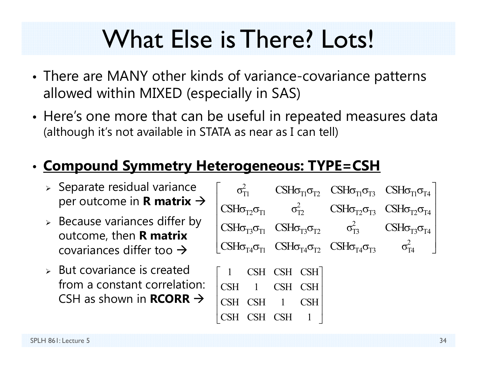### What Else is There? Lots!

- • There are MANY other kinds of variance-covariance patterns allowed within MIXED (especially in SAS)
- • Here's one more that can be useful in repeated measures data (although it's not available in STATA as near as I can tell)

#### • **Compound Symmetry Heterogeneous: TYPE=CSH**

- $\triangleright$  Separate residual variance per outcome in **R matrix**
- $\triangleright$  Because variances differ by outcome, then **R matrix**  covariances differ too  $\rightarrow$
- $\triangleright$  But covariance is created from a constant correlation: CSH as shown in **RCORR**

|  |                                                                                                                                                                           |                                                                                                                                                                                                         |  | $\sigma_{\text{TI}}^2$ CSH $\sigma_{\text{TI}}\sigma_{\text{TI}}$ CSH $\sigma_{\text{TI}}\sigma_{\text{TI}}$ CSH $\sigma_{\text{TI}}\sigma_{\text{TI}}$ |  |  |
|--|---------------------------------------------------------------------------------------------------------------------------------------------------------------------------|---------------------------------------------------------------------------------------------------------------------------------------------------------------------------------------------------------|--|---------------------------------------------------------------------------------------------------------------------------------------------------------|--|--|
|  | $\text{CSH}\sigma_{\text{T2}}\sigma_{\text{T1}}$ $\sigma_{\text{T2}}^2$ $\text{CSH}\sigma_{\text{T2}}\sigma_{\text{T3}}$ $\text{CSH}\sigma_{\text{T2}}\sigma_{\text{T4}}$ |                                                                                                                                                                                                         |  |                                                                                                                                                         |  |  |
|  |                                                                                                                                                                           | $\text{CSH}\sigma_{\text{T3}}\sigma_{\text{T1}}$ $\text{CSH}\sigma_{\text{T3}}\sigma_{\text{T2}}$ $\sigma_{\text{T3}}^2$ $\text{CSH}\sigma_{\text{T3}}\sigma_{\text{T4}}$                               |  |                                                                                                                                                         |  |  |
|  |                                                                                                                                                                           | $\begin{bmatrix} \text{CSH}\sigma_{\text{T4}}\sigma_{\text{T1}} & \text{CSH}\sigma_{\text{T4}}\sigma_{\text{T2}} & \text{CSH}\sigma_{\text{T4}}\sigma_{\text{T3}} & \sigma_{\text{T4}}^2 \end{bmatrix}$ |  |                                                                                                                                                         |  |  |
|  | $\begin{bmatrix} 1 & \text{CSH} & \text{CSH} & \text{CSH} \end{bmatrix}$                                                                                                  |                                                                                                                                                                                                         |  |                                                                                                                                                         |  |  |
|  | CSH 1 CSH CSH                                                                                                                                                             |                                                                                                                                                                                                         |  |                                                                                                                                                         |  |  |
|  | CSH CSH 1 CSH                                                                                                                                                             |                                                                                                                                                                                                         |  |                                                                                                                                                         |  |  |
|  | CSH CSH                                                                                                                                                                   |                                                                                                                                                                                                         |  |                                                                                                                                                         |  |  |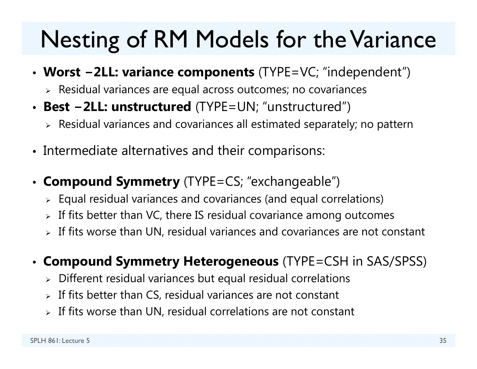### Nesting of RM Models for the Variance

- **Worst <sup>−</sup>2LL: variance components** (TYPE=VC; "independent")
	- $\triangleright$  Residual variances are equal across outcomes; no covariances
- **Best <sup>−</sup>2LL: unstructured** (TYPE=UN; "unstructured")
	- $\triangleright$  Residual variances and covariances all estimated separately; no pattern
- Intermediate alternatives and their comparisons:
- **Compound Symmetry** (TYPE=CS; "exchangeable")
	- $\triangleright$  Equal residual variances and covariances (and equal correlations)
	- $\triangleright$  If fits better than VC, there IS residual covariance among outcomes
	- $\triangleright$  If fits worse than UN, residual variances and covariances are not constant

#### • **Compound Symmetry Heterogeneous** (TYPE=CSH in SAS/SPSS)

- $\triangleright$  Different residual variances but equal residual correlations
- $\triangleright$  If fits better than CS, residual variances are not constant
- $\triangleright$  If fits worse than UN, residual correlations are not constant